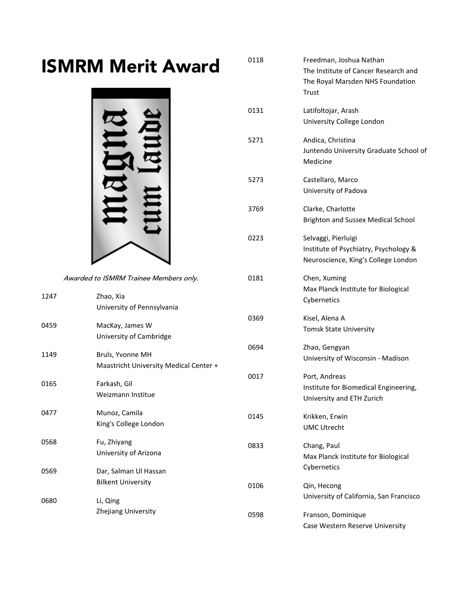## ISMRM Merit Award



Awarded to ISMRM Trainee Members only.

| 1247 | Zhao, Xia<br>University of Pennsylvania                    |      | Max Planck Institute for Biological<br>Cybernetics                                  |
|------|------------------------------------------------------------|------|-------------------------------------------------------------------------------------|
| 0459 | MacKay, James W<br>University of Cambridge                 | 0369 | Kisel, Alena A<br><b>Tomsk State University</b>                                     |
| 1149 | Bruls, Yvonne MH<br>Maastricht University Medical Center + | 0694 | Zhao, Gengyan<br>University of Wisconsin - Madison                                  |
| 0165 | Farkash, Gil<br>Weizmann Institue                          | 0017 | Port, Andreas<br>Institute for Biomedical Engineering,<br>University and ETH Zurich |
| 0477 | Munoz, Camila<br>King's College London                     | 0145 | Krikken, Erwin<br><b>UMC Utrecht</b>                                                |
| 0568 | Fu, Zhiyang<br>University of Arizona                       | 0833 | Chang, Paul<br>Max Planck Institute for Biological                                  |
| 0569 | Dar, Salman Ul Hassan<br><b>Bilkent University</b>         | 0106 | Cybernetics<br>Qin, Hecong                                                          |
| 0680 | Li, Qing<br>Zhejiang University                            | 0598 | University of California, San Francisco<br>Franson, Dominique                       |
|      |                                                            |      | Case Western Reserve University                                                     |

0118 Freedman, Joshua Nathan The Institute of Cancer Research and The Royal Marsden NHS Foundation Trust 0131 Latifoltojar, Arash University College London 5271 Andica, Christina Juntendo University Graduate School of Medicine 5273 Castellaro, Marco University of Padova 3769 Clarke, Charlotte Brighton and Sussex Medical School 0223 Selvaggi, Pierluigi Institute of Psychiatry, Psychology & Neuroscience, King's College London 0181 Chen, Xuming Max Planck Institute for Biological University of Wisconsin - Madison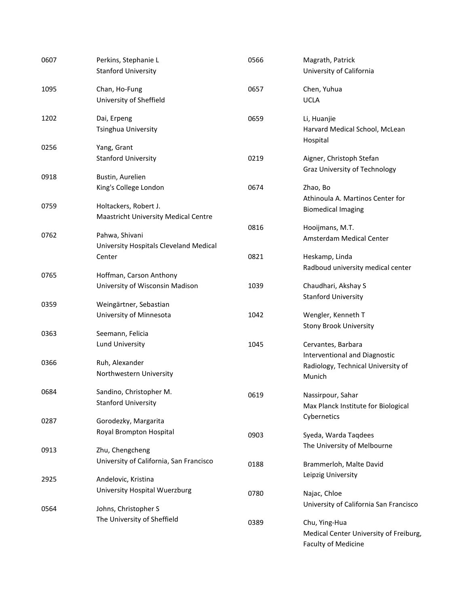| 0607 | Perkins, Stephanie L<br><b>Stanford University</b>                   | 0566 | Magrath, Patrick<br>University of California                                          |
|------|----------------------------------------------------------------------|------|---------------------------------------------------------------------------------------|
| 1095 | Chan, Ho-Fung<br>University of Sheffield                             | 0657 | Chen, Yuhua<br><b>UCLA</b>                                                            |
| 1202 | Dai, Erpeng<br>Tsinghua University                                   | 0659 | Li, Huanjie<br>Harvard Medical School, McLean<br>Hospital                             |
| 0256 | Yang, Grant<br><b>Stanford University</b>                            | 0219 | Aigner, Christoph Stefan<br>Graz University of Technology                             |
| 0918 | Bustin, Aurelien                                                     |      |                                                                                       |
|      | King's College London                                                | 0674 | Zhao, Bo<br>Athinoula A. Martinos Center for                                          |
| 0759 | Holtackers, Robert J.<br><b>Maastricht University Medical Centre</b> |      | <b>Biomedical Imaging</b>                                                             |
| 0762 | Pahwa, Shivani<br>University Hospitals Cleveland Medical             | 0816 | Hooijmans, M.T.<br>Amsterdam Medical Center                                           |
|      | Center                                                               | 0821 | Heskamp, Linda<br>Radboud university medical center                                   |
| 0765 | Hoffman, Carson Anthony<br>University of Wisconsin Madison           | 1039 | Chaudhari, Akshay S                                                                   |
| 0359 | Weingärtner, Sebastian                                               |      | <b>Stanford University</b>                                                            |
|      | University of Minnesota                                              | 1042 | Wengler, Kenneth T<br><b>Stony Brook University</b>                                   |
| 0363 | Seemann, Felicia<br>Lund University                                  | 1045 | Cervantes, Barbara<br>Interventional and Diagnostic                                   |
| 0366 | Ruh, Alexander<br>Northwestern University                            |      | Radiology, Technical University of<br>Munich                                          |
| 0684 | Sandino, Christopher M.<br><b>Stanford University</b>                | 0619 | Nassirpour, Sahar<br>Max Planck Institute for Biological                              |
| 0287 | Gorodezky, Margarita                                                 |      | Cybernetics                                                                           |
|      | Royal Brompton Hospital                                              | 0903 | Syeda, Warda Taqdees<br>The University of Melbourne                                   |
| 0913 | Zhu, Chengcheng<br>University of California, San Francisco           | 0188 | Brammerloh, Malte David                                                               |
| 2925 | Andelovic, Kristina                                                  |      | Leipzig University                                                                    |
| 0564 | University Hospital Wuerzburg<br>Johns, Christopher S                | 0780 | Najac, Chloe<br>University of California San Francisco                                |
|      | The University of Sheffield                                          | 0389 | Chu, Ying-Hua<br>Medical Center University of Freiburg,<br><b>Faculty of Medicine</b> |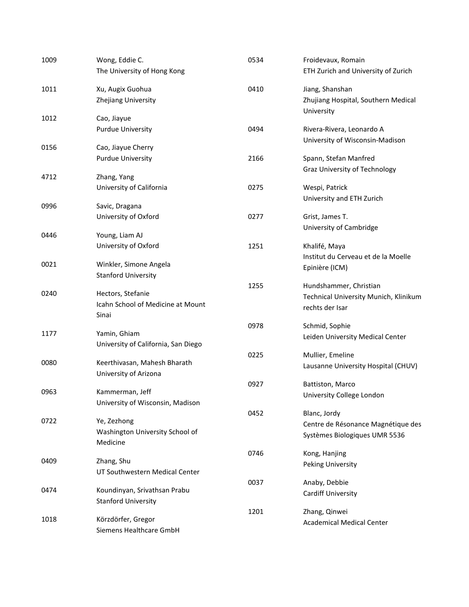| 1009 | Wong, Eddie C.                      | 0534 | Froidevaux, Romain                                           |
|------|-------------------------------------|------|--------------------------------------------------------------|
|      | The University of Hong Kong         |      | ETH Zurich and University of Zurich                          |
| 1011 | Xu, Augix Guohua                    | 0410 | Jiang, Shanshan                                              |
|      | Zhejiang University                 |      | Zhujiang Hospital, Southern Medical<br>University            |
| 1012 | Cao, Jiayue                         |      |                                                              |
|      | <b>Purdue University</b>            | 0494 | Rivera-Rivera, Leonardo A<br>University of Wisconsin-Madison |
| 0156 | Cao, Jiayue Cherry                  |      |                                                              |
|      | <b>Purdue University</b>            | 2166 | Spann, Stefan Manfred                                        |
|      |                                     |      | Graz University of Technology                                |
| 4712 | Zhang, Yang                         |      |                                                              |
|      | University of California            | 0275 | Wespi, Patrick<br>University and ETH Zurich                  |
| 0996 | Savic, Dragana                      |      |                                                              |
|      | University of Oxford                | 0277 | Grist, James T.                                              |
| 0446 | Young, Liam AJ                      |      | University of Cambridge                                      |
|      | University of Oxford                | 1251 | Khalifé, Maya                                                |
|      |                                     |      | Institut du Cerveau et de la Moelle                          |
| 0021 | Winkler, Simone Angela              |      | Epinière (ICM)                                               |
|      | <b>Stanford University</b>          |      |                                                              |
|      |                                     | 1255 | Hundshammer, Christian                                       |
| 0240 | Hectors, Stefanie                   |      | Technical University Munich, Klinikum                        |
|      | Icahn School of Medicine at Mount   |      | rechts der Isar                                              |
|      | Sinai                               |      |                                                              |
| 1177 | Yamin, Ghiam                        | 0978 | Schmid, Sophie                                               |
|      | University of California, San Diego |      | Leiden University Medical Center                             |
|      |                                     | 0225 | Mullier, Emeline                                             |
| 0080 | Keerthivasan, Mahesh Bharath        |      | Lausanne University Hospital (CHUV)                          |
|      | University of Arizona               |      |                                                              |
|      |                                     | 0927 | Battiston, Marco                                             |
| 0963 | Kammerman, Jeff                     |      | University College London                                    |
|      | University of Wisconsin, Madison    |      |                                                              |
| 0722 | Ye, Zezhong                         | 0452 | Blanc, Jordy                                                 |
|      | Washington University School of     |      | Centre de Résonance Magnétique des                           |
|      | Medicine                            |      | Systèmes Biologiques UMR 5536                                |
|      |                                     | 0746 | Kong, Hanjing                                                |
| 0409 | Zhang, Shu                          |      | Peking University                                            |
|      | UT Southwestern Medical Center      |      |                                                              |
|      |                                     | 0037 | Anaby, Debbie                                                |
| 0474 | Koundinyan, Srivathsan Prabu        |      | Cardiff University                                           |
|      | <b>Stanford University</b>          | 1201 |                                                              |
| 1018 | Körzdörfer, Gregor                  |      | Zhang, Qinwei<br><b>Academical Medical Center</b>            |
|      | Siemens Healthcare GmbH             |      |                                                              |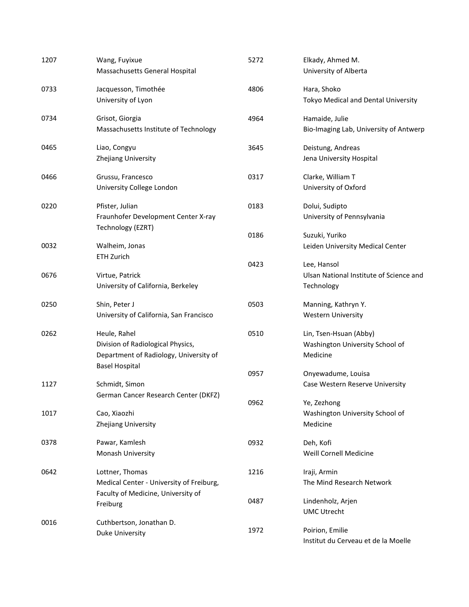| 1207 | Wang, Fuyixue<br>Massachusetts General Hospital                                                                      | 5272 | Elkady, Ahmed M.<br>University of Alberta                             |
|------|----------------------------------------------------------------------------------------------------------------------|------|-----------------------------------------------------------------------|
| 0733 | Jacquesson, Timothée<br>University of Lyon                                                                           | 4806 | Hara, Shoko<br>Tokyo Medical and Dental University                    |
| 0734 | Grisot, Giorgia<br>Massachusetts Institute of Technology                                                             | 4964 | Hamaide, Julie<br>Bio-Imaging Lab, University of Antwerp              |
| 0465 | Liao, Congyu<br>Zhejiang University                                                                                  | 3645 | Deistung, Andreas<br>Jena University Hospital                         |
| 0466 | Grussu, Francesco<br>University College London                                                                       | 0317 | Clarke, William T<br>University of Oxford                             |
| 0220 | Pfister, Julian<br>Fraunhofer Development Center X-ray                                                               | 0183 | Dolui, Sudipto<br>University of Pennsylvania                          |
| 0032 | Technology (EZRT)<br>Walheim, Jonas                                                                                  | 0186 | Suzuki, Yuriko<br>Leiden University Medical Center                    |
| 0676 | <b>ETH Zurich</b><br>Virtue, Patrick<br>University of California, Berkeley                                           | 0423 | Lee, Hansol<br>Ulsan National Institute of Science and<br>Technology  |
| 0250 | Shin, Peter J<br>University of California, San Francisco                                                             | 0503 | Manning, Kathryn Y.<br><b>Western University</b>                      |
| 0262 | Heule, Rahel<br>Division of Radiological Physics,<br>Department of Radiology, University of<br><b>Basel Hospital</b> | 0510 | Lin, Tsen-Hsuan (Abby)<br>Washington University School of<br>Medicine |
| 1127 | Schmidt, Simon<br>German Cancer Research Center (DKFZ)                                                               | 0957 | Onyewadume, Louisa<br>Case Western Reserve University                 |
| 1017 | Cao, Xiaozhi<br>Zhejiang University                                                                                  | 0962 | Ye, Zezhong<br>Washington University School of<br>Medicine            |
| 0378 | Pawar, Kamlesh<br>Monash University                                                                                  | 0932 | Deh, Kofi<br>Weill Cornell Medicine                                   |
| 0642 | Lottner, Thomas<br>Medical Center - University of Freiburg,<br>Faculty of Medicine, University of                    | 1216 | Iraji, Armin<br>The Mind Research Network                             |
|      | Freiburg                                                                                                             | 0487 | Lindenholz, Arjen<br><b>UMC Utrecht</b>                               |
| 0016 | Cuthbertson, Jonathan D.<br>Duke University                                                                          | 1972 | Poirion, Emilie<br>Institut du Cerveau et de la Moelle                |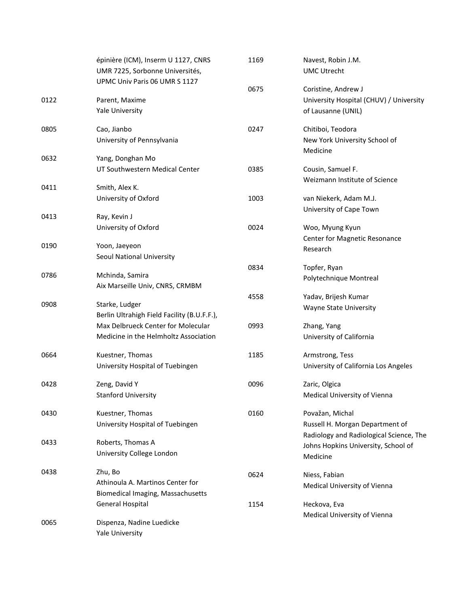|      | épinière (ICM), Inserm U 1127, CNRS         | 1169 | Navest, Robin J.M.                      |
|------|---------------------------------------------|------|-----------------------------------------|
|      | UMR 7225, Sorbonne Universités,             |      | <b>UMC Utrecht</b>                      |
|      | UPMC Univ Paris 06 UMR S 1127               |      |                                         |
|      |                                             | 0675 | Coristine, Andrew J                     |
| 0122 | Parent, Maxime                              |      | University Hospital (CHUV) / University |
|      | Yale University                             |      | of Lausanne (UNIL)                      |
| 0805 | Cao, Jianbo                                 | 0247 | Chitiboi, Teodora                       |
|      | University of Pennsylvania                  |      | New York University School of           |
|      |                                             |      | Medicine                                |
| 0632 | Yang, Donghan Mo                            |      |                                         |
|      | UT Southwestern Medical Center              | 0385 | Cousin, Samuel F.                       |
|      |                                             |      | Weizmann Institute of Science           |
| 0411 | Smith, Alex K.                              |      |                                         |
|      | University of Oxford                        | 1003 | van Niekerk, Adam M.J.                  |
| 0413 | Ray, Kevin J                                |      | University of Cape Town                 |
|      | University of Oxford                        | 0024 | Woo, Myung Kyun                         |
|      |                                             |      | Center for Magnetic Resonance           |
| 0190 | Yoon, Jaeyeon                               |      | Research                                |
|      | Seoul National University                   |      |                                         |
|      |                                             | 0834 | Topfer, Ryan                            |
| 0786 | Mchinda, Samira                             |      | Polytechnique Montreal                  |
|      | Aix Marseille Univ, CNRS, CRMBM             |      |                                         |
|      |                                             | 4558 | Yadav, Brijesh Kumar                    |
| 0908 | Starke, Ludger                              |      | Wayne State University                  |
|      | Berlin Ultrahigh Field Facility (B.U.F.F.), |      |                                         |
|      | Max Delbrueck Center for Molecular          | 0993 | Zhang, Yang                             |
|      | Medicine in the Helmholtz Association       |      | University of California                |
| 0664 | Kuestner, Thomas                            | 1185 | Armstrong, Tess                         |
|      | University Hospital of Tuebingen            |      | University of California Los Angeles    |
| 0428 | Zeng, David Y                               | 0096 | Zaric, Olgica                           |
|      | <b>Stanford University</b>                  |      | Medical University of Vienna            |
| 0430 | Kuestner, Thomas                            | 0160 | Považan, Michal                         |
|      | University Hospital of Tuebingen            |      | Russell H. Morgan Department of         |
|      |                                             |      | Radiology and Radiological Science, The |
| 0433 | Roberts, Thomas A                           |      | Johns Hopkins University, School of     |
|      | University College London                   |      | Medicine                                |
| 0438 | Zhu, Bo                                     | 0624 | Niess, Fabian                           |
|      | Athinoula A. Martinos Center for            |      | Medical University of Vienna            |
|      | Biomedical Imaging, Massachusetts           |      |                                         |
|      | <b>General Hospital</b>                     | 1154 | Heckova, Eva                            |
|      |                                             |      | Medical University of Vienna            |
| 0065 | Dispenza, Nadine Luedicke                   |      |                                         |
|      | Yale University                             |      |                                         |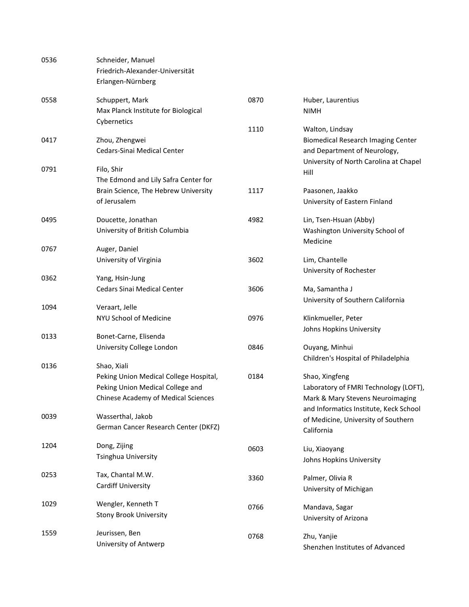| 0536 | Schneider, Manuel                      |      |                                                |
|------|----------------------------------------|------|------------------------------------------------|
|      | Friedrich-Alexander-Universität        |      |                                                |
|      | Erlangen-Nürnberg                      |      |                                                |
| 0558 | Schuppert, Mark                        | 0870 | Huber, Laurentius                              |
|      | Max Planck Institute for Biological    |      | <b>NIMH</b>                                    |
|      | Cybernetics                            |      |                                                |
|      |                                        | 1110 | Walton, Lindsay                                |
| 0417 | Zhou, Zhengwei                         |      | <b>Biomedical Research Imaging Center</b>      |
|      | Cedars-Sinai Medical Center            |      | and Department of Neurology,                   |
| 0791 | Filo, Shir                             |      | University of North Carolina at Chapel<br>Hill |
|      | The Edmond and Lily Safra Center for   |      |                                                |
|      | Brain Science, The Hebrew University   | 1117 | Paasonen, Jaakko                               |
|      | of Jerusalem                           |      | University of Eastern Finland                  |
|      |                                        |      |                                                |
| 0495 | Doucette, Jonathan                     | 4982 | Lin, Tsen-Hsuan (Abby)                         |
|      | University of British Columbia         |      | Washington University School of                |
|      |                                        |      | Medicine                                       |
| 0767 | Auger, Daniel                          |      |                                                |
|      | University of Virginia                 | 3602 | Lim, Chantelle                                 |
|      |                                        |      | University of Rochester                        |
| 0362 | Yang, Hsin-Jung                        |      |                                                |
|      | <b>Cedars Sinai Medical Center</b>     | 3606 | Ma, Samantha J                                 |
| 1094 | Veraart, Jelle                         |      | University of Southern California              |
|      |                                        |      |                                                |
|      | NYU School of Medicine                 | 0976 | Klinkmueller, Peter                            |
| 0133 | Bonet-Carne, Elisenda                  |      | Johns Hopkins University                       |
|      | University College London              | 0846 | Ouyang, Minhui                                 |
|      |                                        |      | Children's Hospital of Philadelphia            |
| 0136 | Shao, Xiali                            |      |                                                |
|      | Peking Union Medical College Hospital, | 0184 | Shao, Xingfeng                                 |
|      | Peking Union Medical College and       |      | Laboratory of FMRI Technology (LOFT),          |
|      | Chinese Academy of Medical Sciences    |      | Mark & Mary Stevens Neuroimaging               |
|      |                                        |      | and Informatics Institute, Keck School         |
| 0039 | Wasserthal, Jakob                      |      | of Medicine, University of Southern            |
|      | German Cancer Research Center (DKFZ)   |      | California                                     |
| 1204 | Dong, Zijing                           | 0603 | Liu, Xiaoyang                                  |
|      | Tsinghua University                    |      | Johns Hopkins University                       |
|      |                                        |      |                                                |
| 0253 | Tax, Chantal M.W.                      | 3360 | Palmer, Olivia R                               |
|      | <b>Cardiff University</b>              |      | University of Michigan                         |
|      |                                        |      |                                                |
| 1029 | Wengler, Kenneth T                     | 0766 | Mandava, Sagar                                 |
|      | <b>Stony Brook University</b>          |      | University of Arizona                          |
| 1559 | Jeurissen, Ben                         | 0768 | Zhu, Yanjie                                    |
|      | University of Antwerp                  |      | Shenzhen Institutes of Advanced                |
|      |                                        |      |                                                |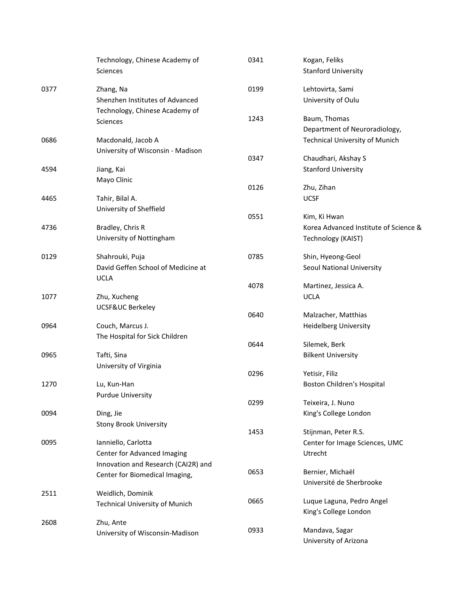|      | Technology, Chinese Academy of        | 0341 | Kogan, Feliks                         |
|------|---------------------------------------|------|---------------------------------------|
|      | <b>Sciences</b>                       |      | <b>Stanford University</b>            |
| 0377 | Zhang, Na                             | 0199 | Lehtovirta, Sami                      |
|      | Shenzhen Institutes of Advanced       |      | University of Oulu                    |
|      | Technology, Chinese Academy of        |      |                                       |
|      | <b>Sciences</b>                       | 1243 | Baum, Thomas                          |
|      |                                       |      | Department of Neuroradiology,         |
| 0686 | Macdonald, Jacob A                    |      | <b>Technical University of Munich</b> |
|      | University of Wisconsin - Madison     |      |                                       |
|      |                                       | 0347 | Chaudhari, Akshay S                   |
| 4594 | Jiang, Kai                            |      | <b>Stanford University</b>            |
|      | Mayo Clinic                           |      |                                       |
|      |                                       | 0126 | Zhu, Zihan                            |
| 4465 | Tahir, Bilal A.                       |      | <b>UCSF</b>                           |
|      | University of Sheffield               | 0551 | Kim, Ki Hwan                          |
| 4736 | Bradley, Chris R                      |      | Korea Advanced Institute of Science & |
|      |                                       |      |                                       |
|      | University of Nottingham              |      | Technology (KAIST)                    |
| 0129 | Shahrouki, Puja                       | 0785 | Shin, Hyeong-Geol                     |
|      | David Geffen School of Medicine at    |      | Seoul National University             |
|      | <b>UCLA</b>                           |      |                                       |
|      |                                       | 4078 | Martinez, Jessica A.                  |
| 1077 | Zhu, Xucheng                          |      | <b>UCLA</b>                           |
|      | UCSF&UC Berkeley                      |      |                                       |
|      |                                       | 0640 | Malzacher, Matthias                   |
| 0964 | Couch, Marcus J.                      |      | <b>Heidelberg University</b>          |
|      | The Hospital for Sick Children        | 0644 | Silemek, Berk                         |
|      |                                       |      | <b>Bilkent University</b>             |
| 0965 | Tafti, Sina                           |      |                                       |
|      | University of Virginia                | 0296 | Yetisir, Filiz                        |
| 1270 | Lu, Kun-Han                           |      | Boston Children's Hospital            |
|      | <b>Purdue University</b>              |      |                                       |
|      |                                       | 0299 | Teixeira, J. Nuno                     |
| 0094 | Ding, Jie                             |      | King's College London                 |
|      | <b>Stony Brook University</b>         |      |                                       |
|      |                                       | 1453 | Stijnman, Peter R.S.                  |
| 0095 | Ianniello, Carlotta                   |      | Center for Image Sciences, UMC        |
|      | Center for Advanced Imaging           |      | Utrecht                               |
|      | Innovation and Research (CAI2R) and   |      |                                       |
|      | Center for Biomedical Imaging,        | 0653 | Bernier, Michaël                      |
|      |                                       |      | Université de Sherbrooke              |
| 2511 | Weidlich, Dominik                     |      |                                       |
|      | <b>Technical University of Munich</b> | 0665 | Luque Laguna, Pedro Angel             |
|      |                                       |      | King's College London                 |
| 2608 | Zhu, Ante                             | 0933 | Mandava, Sagar                        |
|      | University of Wisconsin-Madison       |      | University of Arizona                 |
|      |                                       |      |                                       |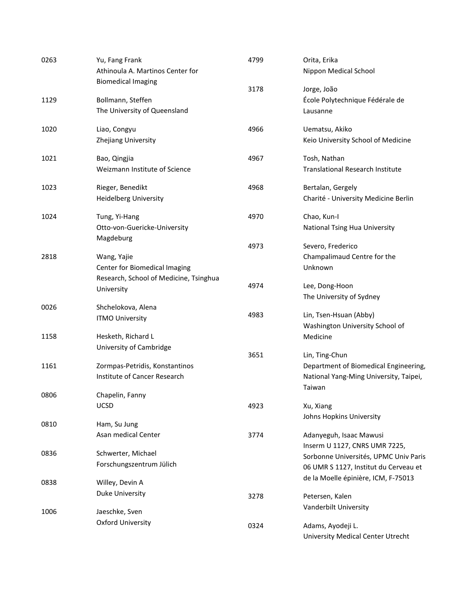| 0263 | Yu, Fang Frank<br>Athinoula A. Martinos Center for | 4799 | Orita, Erika<br>Nippon Medical School                                  |
|------|----------------------------------------------------|------|------------------------------------------------------------------------|
|      | <b>Biomedical Imaging</b>                          |      |                                                                        |
| 1129 | Bollmann, Steffen                                  | 3178 | Jorge, João<br>École Polytechnique Fédérale de                         |
|      | The University of Queensland                       |      | Lausanne                                                               |
|      |                                                    |      |                                                                        |
| 1020 | Liao, Congyu                                       | 4966 | Uematsu, Akiko                                                         |
|      | Zhejiang University                                |      | Keio University School of Medicine                                     |
| 1021 | Bao, Qingjia                                       | 4967 | Tosh, Nathan                                                           |
|      | Weizmann Institute of Science                      |      | <b>Translational Research Institute</b>                                |
| 1023 | Rieger, Benedikt                                   | 4968 | Bertalan, Gergely                                                      |
|      | <b>Heidelberg University</b>                       |      | Charité - University Medicine Berlin                                   |
| 1024 | Tung, Yi-Hang                                      | 4970 | Chao, Kun-I                                                            |
|      | Otto-von-Guericke-University                       |      | National Tsing Hua University                                          |
|      | Magdeburg                                          |      |                                                                        |
|      |                                                    | 4973 | Severo, Frederico                                                      |
| 2818 | Wang, Yajie                                        |      | Champalimaud Centre for the                                            |
|      | Center for Biomedical Imaging                      |      | Unknown                                                                |
|      | Research, School of Medicine, Tsinghua             | 4974 | Lee, Dong-Hoon                                                         |
|      | University                                         |      | The University of Sydney                                               |
| 0026 | Shchelokova, Alena                                 |      |                                                                        |
|      | <b>ITMO University</b>                             | 4983 | Lin, Tsen-Hsuan (Abby)                                                 |
|      |                                                    |      | Washington University School of                                        |
| 1158 | Hesketh, Richard L                                 |      | Medicine                                                               |
|      | University of Cambridge                            | 3651 | Lin, Ting-Chun                                                         |
| 1161 | Zormpas-Petridis, Konstantinos                     |      | Department of Biomedical Engineering,                                  |
|      | Institute of Cancer Research                       |      | National Yang-Ming University, Taipei,                                 |
|      |                                                    |      | Taiwan                                                                 |
| 0806 | Chapelin, Fanny                                    |      |                                                                        |
|      | UCSD                                               | 4923 | Xu, Xiang                                                              |
|      |                                                    |      | Johns Hopkins University                                               |
| 0810 | Ham, Su Jung                                       |      |                                                                        |
|      | Asan medical Center                                | 3774 | Adanyeguh, Isaac Mawusi                                                |
| 0836 | Schwerter, Michael                                 |      | Inserm U 1127, CNRS UMR 7225,<br>Sorbonne Universités, UPMC Univ Paris |
|      | Forschungszentrum Jülich                           |      | 06 UMR S 1127, Institut du Cerveau et                                  |
|      |                                                    |      | de la Moelle épinière, ICM, F-75013                                    |
| 0838 | Willey, Devin A                                    |      |                                                                        |
|      | Duke University                                    | 3278 | Petersen, Kalen                                                        |
| 1006 | Jaeschke, Sven                                     |      | Vanderbilt University                                                  |
|      | <b>Oxford University</b>                           |      |                                                                        |
|      |                                                    | 0324 | Adams, Ayodeji L.                                                      |
|      |                                                    |      | <b>University Medical Center Utrecht</b>                               |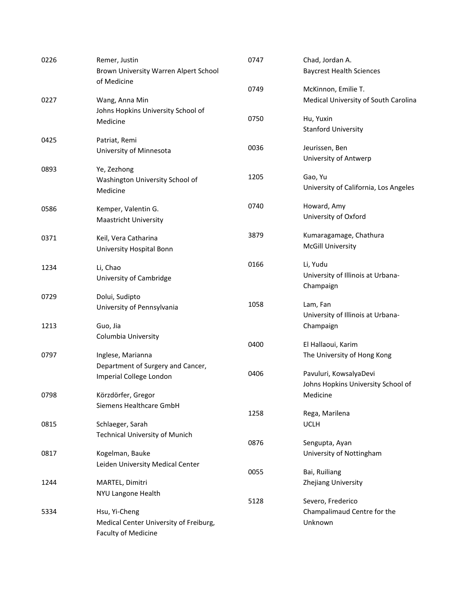| 0226 | Remer, Justin<br>Brown University Warren Alpert School | 0747 | Chad, Jordan A.<br><b>Baycrest Health Sciences</b> |
|------|--------------------------------------------------------|------|----------------------------------------------------|
|      | of Medicine                                            | 0749 | McKinnon, Emilie T.                                |
| 0227 | Wang, Anna Min                                         |      | Medical University of South Carolina               |
|      | Johns Hopkins University School of                     |      |                                                    |
|      | Medicine                                               | 0750 | Hu, Yuxin                                          |
|      |                                                        |      | <b>Stanford University</b>                         |
| 0425 | Patriat, Remi                                          |      |                                                    |
|      | University of Minnesota                                | 0036 | Jeurissen, Ben<br>University of Antwerp            |
| 0893 | Ye, Zezhong                                            |      |                                                    |
|      | Washington University School of                        | 1205 | Gao, Yu                                            |
|      | Medicine                                               |      | University of California, Los Angeles              |
| 0586 | Kemper, Valentin G.                                    | 0740 | Howard, Amy                                        |
|      | Maastricht University                                  |      | University of Oxford                               |
| 0371 | Keil, Vera Catharina                                   | 3879 | Kumaragamage, Chathura                             |
|      | University Hospital Bonn                               |      | <b>McGill University</b>                           |
|      |                                                        | 0166 | Li, Yudu                                           |
| 1234 | Li, Chao                                               |      | University of Illinois at Urbana-                  |
|      | University of Cambridge                                |      | Champaign                                          |
| 0729 | Dolui, Sudipto                                         |      |                                                    |
|      | University of Pennsylvania                             | 1058 | Lam, Fan<br>University of Illinois at Urbana-      |
| 1213 | Guo, Jia                                               |      | Champaign                                          |
|      | Columbia University                                    |      |                                                    |
|      |                                                        | 0400 | El Hallaoui, Karim                                 |
| 0797 | Inglese, Marianna                                      |      | The University of Hong Kong                        |
|      | Department of Surgery and Cancer,                      |      |                                                    |
|      | Imperial College London                                | 0406 | Pavuluri, KowsalyaDevi                             |
|      |                                                        |      | Johns Hopkins University School of                 |
| 0798 | Körzdörfer, Gregor                                     |      | Medicine                                           |
|      | Siemens Healthcare GmbH                                | 1258 | Rega, Marilena                                     |
| 0815 | Schlaeger, Sarah                                       |      | <b>UCLH</b>                                        |
|      | <b>Technical University of Munich</b>                  |      |                                                    |
|      |                                                        | 0876 | Sengupta, Ayan                                     |
| 0817 | Kogelman, Bauke                                        |      | University of Nottingham                           |
|      | Leiden University Medical Center                       | 0055 | Bai, Ruiliang                                      |
| 1244 | MARTEL, Dimitri                                        |      | Zhejiang University                                |
|      | NYU Langone Health                                     |      |                                                    |
|      |                                                        | 5128 | Severo, Frederico                                  |
| 5334 | Hsu, Yi-Cheng                                          |      | Champalimaud Centre for the                        |
|      | Medical Center University of Freiburg,                 |      | Unknown                                            |
|      | Faculty of Medicine                                    |      |                                                    |